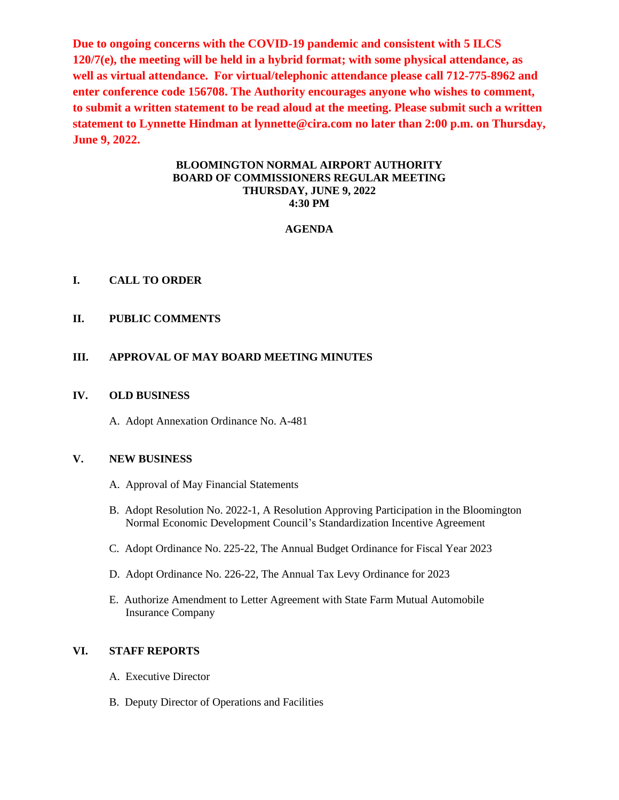**Due to ongoing concerns with the COVID-19 pandemic and consistent with 5 ILCS 120/7(e), the meeting will be held in a hybrid format; with some physical attendance, as well as virtual attendance. For virtual/telephonic attendance please call 712-775-8962 and enter conference code 156708. The Authority encourages anyone who wishes to comment, to submit a written statement to be read aloud at the meeting. Please submit such a written statement to Lynnette Hindman at lynnette@cira.com no later than 2:00 p.m. on Thursday, June 9, 2022.**

# **BLOOMINGTON NORMAL AIRPORT AUTHORITY BOARD OF COMMISSIONERS REGULAR MEETING THURSDAY, JUNE 9, 2022 4:30 PM**

# **AGENDA**

# **I. CALL TO ORDER**

# **II. PUBLIC COMMENTS**

### **III. APPROVAL OF MAY BOARD MEETING MINUTES**

#### **IV. OLD BUSINESS**

A. Adopt Annexation Ordinance No. A-481

# **V. NEW BUSINESS**

- A. Approval of May Financial Statements
- B. Adopt Resolution No. 2022-1, A Resolution Approving Participation in the Bloomington Normal Economic Development Council's Standardization Incentive Agreement
- C. Adopt Ordinance No. 225-22, The Annual Budget Ordinance for Fiscal Year 2023
- D. Adopt Ordinance No. 226-22, The Annual Tax Levy Ordinance for 2023
- E. Authorize Amendment to Letter Agreement with State Farm Mutual Automobile Insurance Company

### **VI. STAFF REPORTS**

- A. Executive Director
- B. Deputy Director of Operations and Facilities